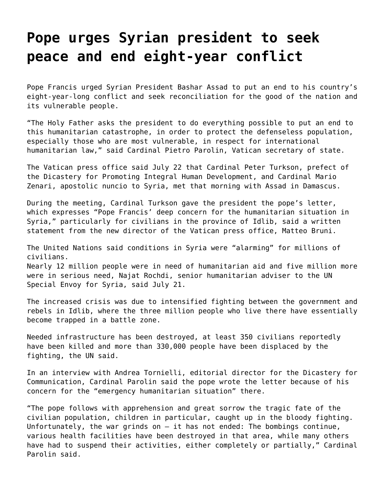## **[Pope urges Syrian president to seek](https://grandinmedia.ca/pope-urges-syrian-president-to-seek-peace-and-end-eight-year-conflict/) [peace and end eight-year conflict](https://grandinmedia.ca/pope-urges-syrian-president-to-seek-peace-and-end-eight-year-conflict/)**

Pope Francis urged Syrian President Bashar Assad to put an end to his country's eight-year-long conflict and seek reconciliation for the good of the nation and its vulnerable people.

"The Holy Father asks the president to do everything possible to put an end to this humanitarian catastrophe, in order to protect the defenseless population, especially those who are most vulnerable, in respect for international humanitarian law," said Cardinal Pietro Parolin, Vatican secretary of state.

The Vatican press office said July 22 that Cardinal Peter Turkson, prefect of the Dicastery for Promoting Integral Human Development, and Cardinal Mario Zenari, apostolic nuncio to Syria, met that morning with Assad in Damascus.

During the meeting, Cardinal Turkson gave the president the pope's letter, which expresses "Pope Francis' deep concern for the humanitarian situation in Syria," particularly for civilians in the province of Idlib, said a written statement from the new director of the Vatican press office, Matteo Bruni.

The United Nations said conditions in Syria were "alarming" for millions of civilians.

Nearly 12 million people were in need of humanitarian aid and five million more were in serious need, Najat Rochdi, senior humanitarian adviser to the UN Special Envoy for Syria, said July 21.

The increased crisis was due to intensified fighting between the government and rebels in Idlib, where the three million people who live there have essentially become trapped in a battle zone.

Needed infrastructure has been destroyed, at least 350 civilians reportedly have been killed and more than 330,000 people have been displaced by the fighting, the UN said.

In an interview with Andrea Tornielli, editorial director for the Dicastery for Communication, Cardinal Parolin said the pope wrote the letter because of his concern for the "emergency humanitarian situation" there.

"The pope follows with apprehension and great sorrow the tragic fate of the civilian population, children in particular, caught up in the bloody fighting. Unfortunately, the war grinds on — it has not ended: The bombings continue, various health facilities have been destroyed in that area, while many others have had to suspend their activities, either completely or partially," Cardinal Parolin said.